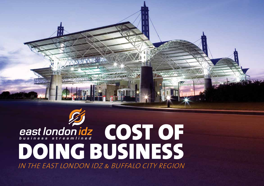

## **east london idz COST OF** DOING BUSINESS IN THE EAST LONDON IDZ & BUFFALO CITY REGION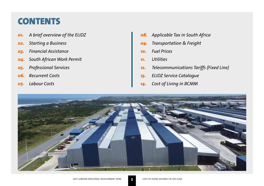## **CONTENTS**

- *01. A brief overview of the ELIDZ*
- *02. Starting a Business*
- *03. Financial Assistance*
- *04. South African Work Permit*
- *05. Professional Services*
- *06. Recurrent Costs*
- *07. Labour Costs*
- *08. Applicable Tax in South Africa*
- *09. Transportation & Freight*
- *10. Fuel Prices*
- *11. Utilities*
- *12. Telecommunications Tariffs (Fixed Line)*
- *13. ELIDZ Service Catalogue*
- *14. Cost of Living in BCMM*

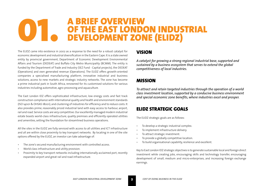# **OF THE EAST LONDON INDUSTRIAL**<br> **OF THE EAST LONDON INDUSTRIAL**<br>
DEVELOPMENT ZONE (ELIDZ)

The ELIDZ came into existence in 2002 as a response to the need for a robust catalyst for economic development and industrial diversification in the Eastern Cape. It is a state owned entity by provincial government, Department of Economic Development Environmental Affairs and Tourism (DEDEAT) and Buffalo City Metro Municipality (BCMM). The entity is funded by the Department of Trade and Industry (SEZ Fund - Capital projects), the DEDEAT (Operations) and own generated revenue (Operations). The ELIDZ offers growth-oriented companies a specialised manufacturing platform, innovative industrial and business solutions, access to new markets and strategic industry networks. The zone has become a prime industrial park in South Africa, renowned for its customised solutions for various industries including automotive, agro-processing and aquaculture.

The East London IDZ offers sophisticated infrastructure, low energy costs and fast track construction compliance with international quality and health and environment standards (ISO 14001 & OHSAS 18001), and clustering of industries for efficiency and to reduce costs. It also provides prime, reasonably priced industrial land with easy access to harbour, airport, rail and road. Service costs are very competitive. Our excellently managed modern industrial estate boasts world-class infrastructure, quality premises and efficiently operated utilities and amenities, setting the foundation for streamlined business operations.

All the sites in the ELIDZ are fully serviced with access to all utilities and ICT infrastructure and all are within close proximity to key transport networks. By locating in one of the site options offered by the ELIDZ, an investor can take advantage of:

- The zone's secured manufacturing environment with controlled access.
- World class infrastructure and utility provision.
- Proximity to key transport networks including internationally acclaimed port, recently expanded airport and great rail and road infrastructure.

#### **VISION**

*A catalyst for growing a strong regional industrial base, supported and sustained by a business ecosystem that serves to extend the global competitiveness of local industries.*

#### Mission

*To attract and retain targeted industries through the operation of a world class investment location, supported by a conducive business environment and special economic zone benefits, where industries excel and prosper.*

## ELIDZ Strategic Goals

The ELIDZ strategic goals are as follows:

- To develop a strategic industrial complex.
- To implement infrastructure delivery.
- To attract strategic investment.
- To provide a globally competitive location.
- To build organisational capability, resilience and excellent.

Key to East London IDZ strategic objectives is to generate sustainable local and foreign direct investment while creating jobs, encouraging skills and technology transfer, encouraging development of small, medium and micro-enterprises, and increasing foreign exchange earnings.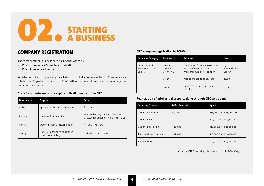# OZ. STARTING

#### Company Registration

The most common business entities in South Africa are:

- **• Private companies Proprietary (Limited);**
- **• Public Companies (Limited).**

Registration of a company requires lodgement of documents with the Companies and Intellectual Properties Commission (CIPC), either by the applicant itself, or by an agent on behalf of the applicant.

#### **Costs for submission by the applicant itself directly to the CIPC:**

| <b>Documents</b>    | Purpose                                             | Fees                                                                          |
|---------------------|-----------------------------------------------------|-------------------------------------------------------------------------------|
| CoR9.1              | Application for name reservation                    | R50.00                                                                        |
| CoR <sub>14.1</sub> | Notice of Incorporation                             | Filed with Coris.1 and is subject to<br>allowed reduction (R175.00 - R475.00) |
| CoR <sub>15.1</sub> | Memorandum of Incorporation                         | $R175.00 - R475.00$                                                           |
| CoR44               | Notice of Change of Auditor or<br>Company Secretary | Included in registration                                                      |

#### **CIPC company registration in BCMM**

| <b>Company Category</b>                    | <b>Documents</b>                            | <b>Purpose</b>                                                                           | Fees                                                 |
|--------------------------------------------|---------------------------------------------|------------------------------------------------------------------------------------------|------------------------------------------------------|
| Company with<br>/ without Share<br>Capital | CoR9.1<br>CoR <sub>14.1</sub><br>CoR15.1A-E | Application for name reservation<br>Notice of Incorporation<br>Memorandum of Association | R50.00<br>Price included with<br>CoR <sub>15.1</sub> |
|                                            | CoR21.1                                     | Notice of change of address                                                              | Ro.oo                                                |
|                                            | CoR39                                       | Return containing particulars of<br>directors                                            | Ro.oo                                                |

#### **Registration of intellectual property done through CIPC and agent**

| <b>Company Category</b> | Self-submitted | Agent                                             |
|-------------------------|----------------|---------------------------------------------------|
| Patent Registration     | R 590.00       | R <sub>16</sub> ,000.00 - R <sub>28</sub> ,000.00 |
| Patent Search           |                | R 3,500.00 - R11,900.00                           |
| Design Registration     | R 240.00       | R18,000.00 - R22,000.00                           |
| Trademark Registration  | R 590.00       | R 3,000.00 - R13,000.00                           |
| Trademark Search        |                | R 2,500.00 - R 5,100.00                           |

(Source: CIPC website, IdeaNav and Smit & Van Wyk, Inc)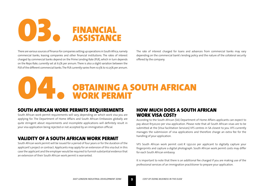

There are various sources of finance for companies setting up operations in South Africa, namely commercial banks, leasing companies and other financial institutions. The rates of interest charged by commercial banks depend on the Prime Lending Rate (PLR), which in turn depends on the Repo Rate, currently set at 6.5% per annum. There is also a slight variation between the PLR of the different commercial banks. The PLR currently varies from 10.5% to 10.25% per annum.

The rate of interest charged for loans and advances from commercial banks may vary depending on the commercial bank's lending policy and the nature of the collateral security offered by the company.

## OBTAINING A SOUTH AFRICAN WORK PERMIT 04.

## South African Work Permits Requirements

South African work permit requirements will vary, depending on which work visa you are applying for. The Department of Home Affairs and South African Embassies globally are quite stringent about requirements and incomplete applications will definitely result in your visa application being rejected or not accepted by an immigration official.

## Validity of a South African work permit

South African work permit will be issued for a period of four years or for the duration of the applicant's project or contract. Applicants may apply for an extension of this visa but in this case the applicant and the employer would be required to furnish substantial evidence that an extension of their South African work permit is warranted.

#### How much does a South African work visa cost?

According to the South African (SA) Department of Home Affairs applicants can expect to pay about R1520,00 per visa application. Please note that all South African visas are to be submitted at the (Visa Facilitation Services) VFS centres in SA closest to you. VFS currently manages the submission of visa applications and therefore charge an extra fee for the handling of your application.

VFS South African work permit cost: R 1350.00 per applicant to digitally capture your fingerprints and capture a digital photograph. South African work permit costs may differ for each South African embassy.

It is important to note that there is an additional fee charged if you are making use of the professional services of an immigration practitioner to prepare your application.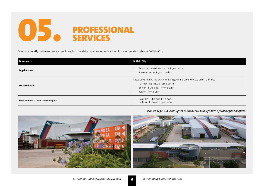

Fees vary greatly between service providers, but the data provides an indication of market related rates in Buffalo City

| Documents                              | <b>Buffalo City</b>                                                                                                                                                          |
|----------------------------------------|------------------------------------------------------------------------------------------------------------------------------------------------------------------------------|
| <b>Legal Advice</b>                    | Senior Attorney R2,000.00 - R2,174.00 /hr<br>Junior Attorney R1,200.00 /hr                                                                                                   |
| <b>Financial Audit</b>                 | Rates governed by the SAICA and are generally evenly costed across all cities<br>Partner-R2,876.00-R3119.00/hr<br>Senior - R1,368.00 - R3119.00/hr<br>Junior $-R$ 713.11 /hr |
| <b>Environmental Assessment Impact</b> | Basic EIA - R80 000-R150 000<br>Full EIA - R200 000-R300 000                                                                                                                 |

*(Source: Legal Aid South Africa & Auditor General of South Africa&DigitalSoilAfrica)*

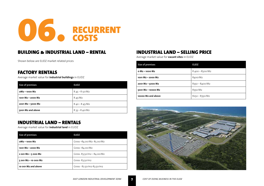

## BUILDING & INDUSTRIAL LAND – RENTAL

Shown below are ELIDZ market related prices

#### Factory Rentals

Average market value for **industrial buildings** in ELIDZ

| Size of premises  | <b>ELIDZ</b>       |
|-------------------|--------------------|
| $0M2 - 1000M2$    | $R$ 45 – R 50/M2   |
| 1001 M2 - 2000 M2 | R 45/M2            |
| 2001 M2 - 5000 M2 | $R$ 40 – $R$ 45/M2 |
| 5001 M2 and above | $R$ 33 – R 40/M2   |

## Industrial Land – Rentals

Average market value for **industrial land** in ELIDZ

| Size of premises                      | <b>ELIDZ</b>                 |
|---------------------------------------|------------------------------|
| oM <sub>2</sub> - 1000 M <sub>2</sub> | Gross- $R4.00/M2 - R5.00/M2$ |
| 1001 M2 - 2000 M2                     | Gross- $R4.00/M2$            |
| $2001 M2 - 5000 M2$                   | $Gross-R3.50/m2 - R4.00/M2$  |
| 5 001 M2 - 10 000 M2                  | Gross-R3.50/m2               |
| 10 001 M2 and above                   | Gross - R2.50/m2-R3.50/m2    |

## Industrial Land – Selling Price

Average market value for **vacant sites** in ELIDZ

| Size of premises   | <b>ELIDZ</b>                     |
|--------------------|----------------------------------|
| $0 M2 - 1000 M2$   | $R$ 400 – $R$ 500/M <sub>2</sub> |
| 1001 M2 - 2000 M2  | R400/M2                          |
| 2001 M2 - 5000 M2  | $R350 - R400/M2$                 |
| 5001 M2 - 10000 M2 | R350/M2                          |
| 10000 M2 and above | $R250 - R350/M2$                 |

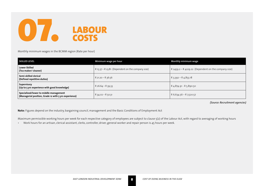

Monthly minimum wages in the BCMM region (Rate per hour)

| l SKILLED LEVEL                                                                                 | Minimum wage per hour                               | Monthly minimum wage                                 |
|-------------------------------------------------------------------------------------------------|-----------------------------------------------------|------------------------------------------------------|
| <b>Lower Skilled</b><br>(Tea maker/ cleaner)                                                    | $R$ 15.37 – R 23.81 (Dependent on the company size) | R 2459.2 - R 4229.22 (Dependent on the company size) |
| Semi-skilled clerical<br>(Defined repetitive duties)                                            | $R$ 21.20 – $R$ 36.56                               | $R$ 3,392 – $R$ 4,853.18                             |
| <b>Supervisory</b><br>(Up to 5 yrs experience with good knowledge)                              | $R$ 26.64 – R 39.33                                 | R 4,874.91 - R 5,890.50                              |
| Specialized/lower to middle management<br>(Managerial position, Grade 12 with 5 yrs experience) | $R$ 34.02 – $R$ 50.31                               | $R$ 6,634.56 – R 7,520.57                            |

*(Source: Recruitment agencies)* 

**Note:** Figures depend on the industry, bargaining council, management and the Basic Conditions of Employment Act

Maximum permissible working hours per week for each respective category of employees are subject to clause 5(2) of the Labour Act, with regard to averaging of working hours

• Work hours for an artisan, clerical assistant, clerks, controller, driver, general worker and repair person is 45 hours per week.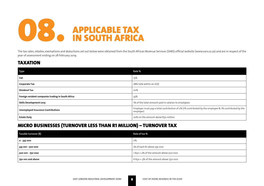

The tax rates, rebates, exemptions and deductions set out below were obtained from the South African Revenue Services (SARS) official website (www.sars.co.za) and are in respect of the year of assessment ending on 28 February 2019.

## **TAXATION**

| Type                                               | Rate %                                                                                                            |
|----------------------------------------------------|-------------------------------------------------------------------------------------------------------------------|
| Vat                                                | 15%                                                                                                               |
| <b>Corporate Tax</b>                               | 28% (15% within an IDZ)                                                                                           |
| <b>Dividend Tax</b>                                | 20%                                                                                                               |
| Foreign resident companies trading in South Africa | 33%                                                                                                               |
| <b>Skills Development Levy</b>                     | 1% of the total amount paid in salaries to employees                                                              |
| <b>Unemployed Insurance Contributions</b>          | Employer must pay a total contribution of 2% (1% contributed by the employee & 1% contributed by the<br>employer) |
| <b>Estate Duty</b>                                 | 20% on the amount above R30 million                                                                               |

## Micro businesses (turnover less than R1 MILLION) – TURNOVER TAX

| Taxable turnover (R) | Rate of tax %                                        |
|----------------------|------------------------------------------------------|
| 0 - 335 000          | о%                                                   |
| 335 001 - 500 000    | 1% of each R1 above 335 000                          |
| 500 001 - 750 000    | $1650 + 2\%$ of the amount above 500 000             |
| 750 001 and above    | $\frac{1}{2}$ 6 650 + 3% of the amount above 750 000 |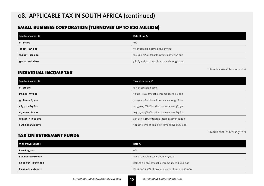## **08. APPLICABLE TAX IN SOUTH AFRICA (continued)**

## Small business corporation (turnover up to R20 million)

| Taxable income (R) | Rate of tax %                                  |
|--------------------|------------------------------------------------|
| $0 - 87300$        | O%                                             |
| 87 301 – 365 000   | 7% of taxable income above 87 300              |
| 365 001 - 550 000  | $19439 + 21\%$ of taxable income above 365 000 |
| 550 001 and above  | 58 289 + 28% of taxable income above 550 000   |

#### \*1 March 2021- 28 February 2022

#### Individual Income Tax

| Taxable income (R) | Taxable income %                                |
|--------------------|-------------------------------------------------|
| $0 - 216201$       | 18% of taxable income                           |
| 216 201 - 337 800  | 38 915 + 26% of taxable income above 216 200    |
| 337 801 - 467 500  | 70 532 + 31% of taxable income above 337 800    |
| 467 501 - 613 600  | 110 739 + 36% of taxable income above $467500$  |
| 613 601 - 782 200  | $163335 + 39\%$ of taxable income above 613 600 |
| 782 201-11656 600  | $229089 + 41\%$ of taxable income above 782 200 |
| 1656 601 and above | 587 593 + 45% of taxable income above 1 656 600 |

#### \*1 March 2021- 28 February 2022

## Tax on retirement funds

| $\blacksquare$ Withdrawal Benefit | Rate %                                                      |
|-----------------------------------|-------------------------------------------------------------|
| $R_0 - R_25,000$                  | 0%                                                          |
| R 25,001 - R 660,000              | 18% of taxable income above R25 000                         |
| R 660,001 - R 990,000             | $R$ 114,300 + 27% of taxable income above R 660,000         |
| R 990,001 and above               | $\mid$ R 203,400 + 36% of taxable income above R 1,050, 000 |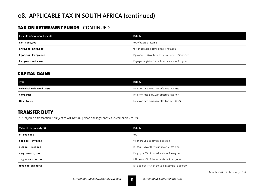## **08. APPLICABLE TAX IN SOUTH AFRICA (continued)**

## Tax on retirement funds **- continued**

| <b>Benefits or Severance Benefits</b> | Rate %                                             |
|---------------------------------------|----------------------------------------------------|
| R o – R 500,000                       | 0% of taxable income                               |
| R 500,001 - R 700,000                 | 18% of taxable income above R 500,000              |
| R 700,001 – R 1,050,000               | R 36,000 + 27% of taxable income above R7000,000   |
| R 1,050,001 and above                 | R 130,500 + 36% of taxable income above R1,050,000 |

## Capital Gains

| <b>Type</b>                   | Rate %                                        |
|-------------------------------|-----------------------------------------------|
| Individual and Special Trusts | Inclusion rate: 40% Max effective rate: 18%   |
| <b>Companies</b>              | Inclusion rate: 80% Max effective rate: 36%   |
| Other Trusts                  | Inclusion rate: 80% Max effective rate: 22.4% |

## Transfer Duty

(NOT payable if transaction is subject to VAT, Natural person and legal entities i.e. companies, trusts)

| Value of the property (R) | Rate %                                               |
|---------------------------|------------------------------------------------------|
| $0 - 1000000$             | о%                                                   |
| 1000 001-1375 000         | 3% of the value above R1 000 000                     |
| 1 375 001 - 1 925 000     | $R11250 + 6%$ of the value above R 1357 000          |
| 1925 001 - 24775 00       | $R$ 44 250 + 8% of the value above $R$ 1 925 000     |
| 2 475 001 - 11 000 000    | $R88250 + 11\%$ of the value above R2 475 000        |
| 11 000 001 and above      | $R11$ 000 001 + 13% of the value above $R11$ 000 000 |

\*1 March 2021 – 28 February 2022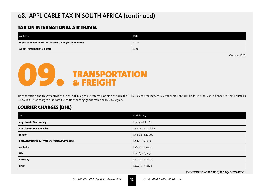## **08. APPLICABLE TAX IN SOUTH AFRICA (continued)**

## Tax on International Air Travel

| Air Travel                                                 | Rate        |
|------------------------------------------------------------|-------------|
| Flights to Southern African Customs Union (SACU) countries | <b>R100</b> |
| All other international flights                            | <b>R190</b> |

09. TRANSPORTATION & FREIGHT

Transportation and freight activities are crucial in logistics systems planning as such, the ELIDZ's close proximity to key transport networks bodes well for convenience seeking industries. Below is a list of charges associated with transporting goods from the BCMM region.

## Courier charges (DHL)

| To:                                        | <b>Buffalo City</b>   |
|--------------------------------------------|-----------------------|
| Any place in SA - overnight                | R441.31-R882.62       |
| Any place in SA - same day                 | Service not available |
| London                                     | R336.08-R405.00       |
| Botswana/Namibia/Swaziland/Malawi/Zimbabwe | $R314.11 - R455.59$   |
| Australia                                  | R563.93-R675.30       |
| <b>USA</b>                                 | R441.87 - R720.30     |
| Germany                                    | R424.78-R870.28       |
| Spain                                      | R424.78 - R536.16     |

*(Prices vary on what time of the day parcel arrives)*

(Source: SARS)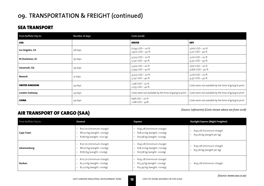## **09. TRANSPORTATION & FREIGHT (continued)**

## **SEA TRANSPORT**

| From Buffalo City to: | Number of days | Costs (2016)                                           |                                                        |
|-----------------------|----------------|--------------------------------------------------------|--------------------------------------------------------|
| <b>USA</b>            |                | <b>REEFER</b>                                          | <b>DRY</b>                                             |
| Los Angeles, CA       | 58 days        | $6,794$ USD - 20 ft<br>7,400 USD – 40 ft               | $3,616$ USD - 20 ft<br>5,271 USD - 40 ft               |
| N Charleston, SC      | 36 days        | 4,503 USD - 20 ft<br>$5,130$ USD – 40 ft               | $3,216$ USD - 20 ft<br>4,371 $USD - 40$ ft             |
| Savannah, GA          | 39 days        | 5,473 $USD - 20$ ft<br>5,794 $USD - 40$ ft             | $3,671$ USD – 20 ft<br>4,826 USD – 40 ft               |
| Newark                | 31 days        | 4,503 USD - 20 ft<br>$5,130$ USD – 40 ft               | $3,216$ USD - 20 ft<br>4,371 $USD - 40$ ft             |
| <b>UNITED KINGDOM</b> | 34 days        | 1,728 USD - 20 ft<br>$2,255$ USD – 40 ft               | Costs were not available by the time of going to print |
| London Gateway        | 24 days        | Costs were not available by the time of going to print | Costs were not available by the time of going to print |
| <b>CHINA</b>          | 39 days        | $698$ USD - 20 ft<br>1,168 USD - 40ft                  | Costs were not available by the time of going to print |

## Air transport of cargo (SAA)

*(Source: Safmarine) (Costs shown above are from 2016)*

| From Buffalo City to: | General                                                                             | <b>Express</b>                                                                                    | <b>Starlight Express (Night Freighter)</b>                         |
|-----------------------|-------------------------------------------------------------------------------------|---------------------------------------------------------------------------------------------------|--------------------------------------------------------------------|
| <b>Cape Town</b>      | R101.70 (minimum charge)<br>R8.00/kg (weight: <100kg)<br>R7.87/kg (weight: >100 kg) | R <sub>145</sub> .08 (minimum charge)<br>R28.20/kg (weight: <100kg)<br>R27.58/kg (weight: >100kg) | R <sub>145</sub> .08 (minimum charge)<br>R33.76/kg (weight per kg) |
| Johannesburg          | R101.70 (minimum charge)<br>R8.00/kg (weight: <100kg)<br>R7.87/kg (weight: >100kg)  | R <sub>145</sub> .08 (minimum charge)<br>R28.20/kg (weight: <100kg)<br>R27.58/kg (weight: >100kg) | R <sub>145</sub> .08 (minimum charge)<br>R33.76/kg (weight per kg) |
| Durban                | R101.70 (minimum charge)<br>R5.20/kg (weight: <100kg)<br>R5.07/kg (weight: >100kg)  | R <sub>145</sub> .08 (minimum charge)<br>R15.33/kg (weight: <100kg)<br>R14.99/kg (weight: >100kg) | R <sub>145</sub> .08 (minimum charge)                              |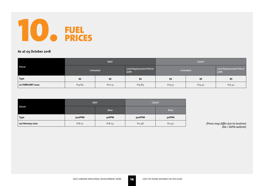

#### **As at 03 October 2018**

|                  | <b>REEF</b>       |                    | <b>COAST</b>            |                     |                     |                                  |
|------------------|-------------------|--------------------|-------------------------|---------------------|---------------------|----------------------------------|
| Petrol           | Unleaded<br>(LRP) |                    | Lead-Replacement Petrol | Unleaded            |                     | Lead-Replacement Petrol<br>(LRP) |
| <b>Type</b>      | 93                | 95                 | 93                      | 93                  | 95                  | 95                               |
| 02 FEBRUARY 2022 | R19.89            | R <sub>20.14</sub> | R19.89                  | R <sub>19</sub> .37 | R <sub>19</sub> .42 | R <sub>19</sub> .42              |

|                  | <b>REEF</b>         |                     | <b>COAST</b>        |                     |
|------------------|---------------------|---------------------|---------------------|---------------------|
| <b>Diesel</b>    |                     | <b>New</b>          |                     | <b>New</b>          |
| Type             | 500PPM              | 50PPM               | 500PPM              | 50PPM               |
| 03 February 2022 | R <sub>1</sub> 8.07 | R <sub>1</sub> 8.04 | R <sub>17</sub> .48 | R <sub>17</sub> .42 |

*(Prices may differ due to location) (AA / SAPIA website)*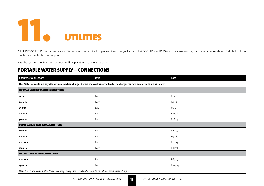| <b>.</b> | <b>UTILITIES</b> |
|----------|------------------|
|          |                  |

All ELIDZ SOC LTD Property Owners and Tenants will be required to pay services charges to the ELIDZ SOC LTD and BCMM, as the case may be, for the services rendered. Detailed utilities brochure is available upon request.

The charges for the following services will be payable to the ELIDZ SOC LTD:

## Portable Water Supply – Connections

| Charge for connections                                                                                                                 | Unit | Rate                |  |
|----------------------------------------------------------------------------------------------------------------------------------------|------|---------------------|--|
| NB: Water deposits are payable with connection charges before the work is carried out. The charges for new connections are as follows: |      |                     |  |
| <b>NORMAL METERED WATER CONNECTIONS</b>                                                                                                |      |                     |  |
| 15 MM                                                                                                                                  | Each | R3.48               |  |
| 20 mm                                                                                                                                  | Each | R <sub>4</sub> .55  |  |
| 25 mm                                                                                                                                  | Each | R12.27              |  |
| 40 mm                                                                                                                                  | Each | R22.36              |  |
| 50 mm                                                                                                                                  | Each | R <sub>2</sub> 8.54 |  |
| <b>COMBINATION METERED CONNECTIONS</b>                                                                                                 |      |                     |  |
| 50 mm                                                                                                                                  | Each | R63.97              |  |
| 80 mm                                                                                                                                  | Each | R92.83              |  |
| 100 mm                                                                                                                                 | Each | R127.13             |  |
| 150 mm                                                                                                                                 | Each | R187.38             |  |
| <b>METERED SPRINKLER CONNECTIONS</b>                                                                                                   |      |                     |  |
| 100 mm                                                                                                                                 | Each | R67.29              |  |
| 150 mm                                                                                                                                 | Each | R104.27             |  |
| Note that AMR (Automated Meter Reading) equipment is added at cost to the above connection charges                                     |      |                     |  |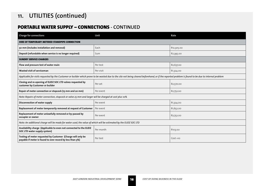## Portable Water Supply – Connections **- continued**

| Charge for connections                                                                                                   | Unit                                                                                                                                                                                                | Rate                     |  |
|--------------------------------------------------------------------------------------------------------------------------|-----------------------------------------------------------------------------------------------------------------------------------------------------------------------------------------------------|--------------------------|--|
| HIRE OF TEMPORARY METERED STANDPIPE CONNECTION                                                                           |                                                                                                                                                                                                     |                          |  |
| 50 mm (includes installation and removal)                                                                                | Each                                                                                                                                                                                                | R <sub>12</sub> , 305.00 |  |
| Deposit (refundable when service is no longer required)                                                                  | Sum                                                                                                                                                                                                 | R <sub>2</sub> ,395.00   |  |
| <b>SUNDRY SERVICE CHARGES</b>                                                                                            |                                                                                                                                                                                                     |                          |  |
| Flow and pressure test of water main                                                                                     | Per test                                                                                                                                                                                            | R <sub>2</sub> ,637.00   |  |
| Wasted visit of serviceman                                                                                               | Per visit                                                                                                                                                                                           | R <sub>1</sub> ,324.00   |  |
|                                                                                                                          | Applicable for visits requested by the Customer or builder which prove to be wasted due to the site not being cleared beforehand, or if the reported problem is found to be due to internal problem |                          |  |
| Closing and re-opening of ELIDZ SOC LTD valves requested by<br>customer by Customer or builder                           | Per set                                                                                                                                                                                             | R <sub>2</sub> ,570.00   |  |
| Repair of meter connection or stopcock (15 mm and 20 mm)                                                                 | Per event                                                                                                                                                                                           | R <sub>2</sub> ,752.00   |  |
| Note: Repairs of meter connection, stopcock or valve 25 mm and larger will be charged at cost plus 10%                   |                                                                                                                                                                                                     |                          |  |
| Disconnection of water supply                                                                                            | Per event                                                                                                                                                                                           | R <sub>1</sub> ,324.00   |  |
| Replacement of meter temporarily removed at request of Customer                                                          | Per event                                                                                                                                                                                           | R <sub>1</sub> ,652.00   |  |
| Replacement of meter unlawfully removed or by-passed by<br>occupier or owner                                             | Per event                                                                                                                                                                                           | R <sub>2</sub> ,752.00   |  |
| Note: An additional charge will be made for water used, the value of which will be estimated by the ELIDZ SOC LTD        |                                                                                                                                                                                                     |                          |  |
| Availability charge (Applicable to even not connected to the ELIDZ<br>SOC LTD water supply system)                       | Per month                                                                                                                                                                                           | R103.00                  |  |
| Testing of meter requested by Customer (Charge will only be<br>payable if meter is found to over record by less than 3%) | Per test                                                                                                                                                                                            | $Cost + 10$              |  |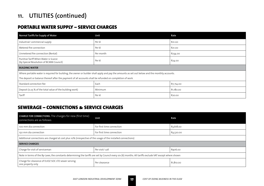## Portable Water Supply – service charges

| Normal Tariffs for Supply of Water                                                                                                             | Unit      | Rate                   |
|------------------------------------------------------------------------------------------------------------------------------------------------|-----------|------------------------|
| Industrial/commercial supply                                                                                                                   | Per kl    | R <sub>21</sub> .00    |
| Metered fire connection                                                                                                                        | Per kl    | R <sub>21</sub> .00    |
| Unmetered fire connection (Rental)                                                                                                             | Per month | R234.00                |
| Punitive Tariff When Water is Scarce<br>(by Special Resolution of BCMM Council)                                                                | Per kl    | R <sub>24</sub> .00    |
| <b>BUILDING WATER</b>                                                                                                                          |           |                        |
| Where portable water is required for building, the owner or builder shall apply and pay the amounts as set out below and the monthly accounts. |           |                        |
| The deposit or balance thereof after the payment of all accounts shall be refunded on completion of work.                                      |           |                        |
| Standard connection fee                                                                                                                        | Each      | R7, 714.00             |
| Deposit (0.25 % of the total value of the building work)                                                                                       | Minimum   | R <sub>1,1</sub> 80.00 |
| Tariff                                                                                                                                         | Per kl    | R <sub>20.00</sub>     |

#### Sewerage – connections & service charges

| CHARGE FOR CONNECTIONS: The charges for new (first time)<br>connections are as follows:                                                                 | Unit                      | Rate                                |
|---------------------------------------------------------------------------------------------------------------------------------------------------------|---------------------------|-------------------------------------|
| 100 mm dia connection                                                                                                                                   | For first time connection | R3,618.00                           |
| 150 mm dia connection                                                                                                                                   | For first time connection | R4,520.00                           |
| Additional connections are charged at cost plus 10% (irrespective of the usage of the installed connections)                                            |                           |                                     |
| <b>SERVICE CHARGES</b>                                                                                                                                  |                           |                                     |
| Charge for visit of serviceman                                                                                                                          | Per visit/call            | R906.00                             |
| Note in terms of the By-Laws, the constants determining the tariffs are set by Council every six (6) months. All tariffs exclude VAT except where shown |                           |                                     |
| Charge for clearance of ELIDZ SOC LTD sewer serving<br>one property only                                                                                | Per clearance             | R <sub>1</sub> ,8 <sub>10</sub> .00 |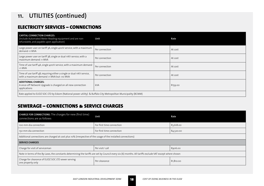## Electricity Services – connections

| <b>CAPITAL CONNECTION CHARGES:</b><br>(Include Automated Meter Reading equipment and are non-<br>refundable, and payable upon application) | Unit           | Rate    |
|--------------------------------------------------------------------------------------------------------------------------------------------|----------------|---------|
| Large power user on tariff 3A, single 400V service, with a maximum<br>demand <1 MVA                                                        | Per connection | At cost |
| Large power user on tariff 3B, single or dual 11KV service, with a<br>maximum demand >1 MVA                                                | Per connection | At cost |
| Time of use tariff 4A, single 400V service, with a maximum demand<br><1 MVA                                                                | Per connection | At cost |
| Time of use tariff 4B, requiring either a single or dual 11KV service,<br>with a maximum demand >1 MVA but <10 MVA                         | Per connection | At cost |
| <b>ADDITIONAL CHARGES:</b><br>A once-off Network Upgrade is charged on all new connection<br>applications                                  | kVA            | R159.00 |
| Rate applied to ELIDZ SOC LTD by Eskom (National power utility) & Buffalo City Metropolitan Municipality (BCMM)                            |                |         |

## Sewerage – connections & service charges

| CHARGE FOR CONNECTIONS: The charges for new (first time)<br>connections are as follows:                                                                 | Unit                      | Rate                                |
|---------------------------------------------------------------------------------------------------------------------------------------------------------|---------------------------|-------------------------------------|
| 100 mm dia connection                                                                                                                                   | For first time connection | R3,618.00                           |
| 150 mm dia connection                                                                                                                                   | For first time connection | R4,520.00                           |
| Additional connections are charged at cost plus 10% (irrespective of the usage of the installed connections)                                            |                           |                                     |
| <b>SERVICE CHARGES</b>                                                                                                                                  |                           |                                     |
| Charge for visit of serviceman                                                                                                                          | Per visit/call            | R906.00                             |
| Note in terms of the By-Laws, the constants determining the tariffs are set by Council every six (6) months. All tariffs exclude VAT except where shown |                           |                                     |
| Charge for clearance of ELIDZ SOC LTD sewer serving<br>one property only                                                                                | Per clearance             | R <sub>1</sub> ,8 <sub>10</sub> .00 |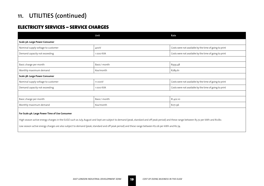## Electricity Services – service charges

|                                                                                                                                                                                                                                            | Unit        | Rate                                                   |
|--------------------------------------------------------------------------------------------------------------------------------------------------------------------------------------------------------------------------------------------|-------------|--------------------------------------------------------|
| Scale 3A: Large Power Consumer                                                                                                                                                                                                             |             |                                                        |
| Nominal supply voltage to customer                                                                                                                                                                                                         | 400V        | Costs were not available by the time of going to print |
| Demand capacity not exceeding                                                                                                                                                                                                              | 1000 KVA    | Costs were not available by the time of going to print |
|                                                                                                                                                                                                                                            |             |                                                        |
| Basic charge per month                                                                                                                                                                                                                     | Basic/month | R939.48                                                |
| Monthly maximum demand                                                                                                                                                                                                                     | Kva/month   | R289.61                                                |
| Scale 3B: Large Power Consumer                                                                                                                                                                                                             |             |                                                        |
| Nominal supply voltage to customer                                                                                                                                                                                                         | 11 000V     | Costs were not available by the time of going to print |
| Demand capacity not exceeding                                                                                                                                                                                                              | 1000 KVA    | Costs were not available by the time of going to print |
|                                                                                                                                                                                                                                            |             |                                                        |
| Basic charge per month                                                                                                                                                                                                                     | Basic/month | R <sub>1</sub> ,412.10                                 |
| Monthly maximum demand                                                                                                                                                                                                                     | Kva/month   | R271.96                                                |
| For Scale 4A: Large Power Time of Use Consumer<br>High season active energy charges in the ELIDZ such as July, August and Sept are subject to demand (peak, standard and off peak period) and these range between R3.72 per kWh and Ro.80. |             |                                                        |

Low season active energy charges are also subject to demand (peak, standard and off peak period) and these range between R2.06 per kWh and R0.74.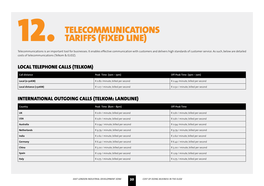

Telecommunications is an important tool for businesses. It enables effective communication with customers and delivers high standards of customer service. As such, below are detailed costs of telecommunications (Telkom & ELIDZ).

## Local telephone calls (Telkom)

| Call distance          | Peak Time (7am – 7pm)              | Off-Peak Time (7pm – 7am)          |
|------------------------|------------------------------------|------------------------------------|
| Local (o-50KM)         | R 0.82 /minute, billed per second  | R 0.44 /minute, billed per second  |
| Local distance (>50KM) | R 1.07 / minute, billed per second | R 0.50 / minute, billed per second |

## International outgoing calls (Telkom: Landline)

| <b>Country</b>     | Peak Time (8am - 8pm)              | Off-Peak Time                      |
|--------------------|------------------------------------|------------------------------------|
| <b>UK</b>          | R 0.61 / minute, billed per second | R 0,61 / minute, billed per second |
| <b>USA</b>         | R 0,61 / minute, billed per second | R 0,61 / minute, billed per second |
| Australia          | R 0.94 / minute, billed per second | R 0.94 /minute, billed per second  |
| <b>Netherlands</b> | R 9.79 / minute, billed per second | R 9.79 / minute, billed per second |
| India              | R 2.62 / minute, billed per second | R 2.62/ minute, billed per second  |
| Germany            | R 6.42 / minute, billed per second | R 6.42 / minute, billed per second |
| China              | R 5.00 / minute, billed per second | R 5.00 / minute, billed per second |
| Spain              | R 1,09 / minute, billed per second | R 1,09 / minute, billed per second |
| Italy              | R 0,75 / minute, billed per second | R 0,75 / minute, billed per second |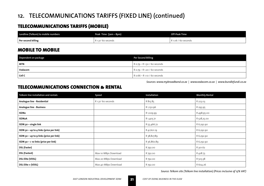## **12. TELECOMMUNICATIONS TARIFFS (FIXED LINE) (continued)**

## Telecommunications Tariffs (Mobile)

| Landline (Telkom) to mobile numbers | Peak Time (7am – 8pm) | Off-Peak Time      |
|-------------------------------------|-----------------------|--------------------|
| Per-second billing                  | $R$ 1.31/60 seconds   | $R1.06/60$ seconds |

## Mobile to mobile

| Dependent on package | Per Second Billing             |
|----------------------|--------------------------------|
| MTN                  | $R$ 0.79 – R 1.50 / 60 seconds |
| Vodacom              | $R$ 0.79 – R 1.20 / 60 seconds |
| $ $ Cell C           | R o.66 - R 1.10 / 60 seconds   |

*Sources: www.mybroadband.co.za | www.vodacom.co.za | www.bundlefundi.co.za*

## Telecommunications connection & rental

| Telkom line installation and rentals     | Speed                | Installation | <b>Monthly Rental</b> |
|------------------------------------------|----------------------|--------------|-----------------------|
| Analogue line - Residential              | R 1.31/60 seconds    | R 815.85     | R 223.03              |
| <b>Analogue line - Business</b>          |                      | R 1,150.96   | R 293.95              |
| ISDN <sub>2</sub>                        |                      | R 1,029.99   | R 498,95.00           |
| <b>ISDN2A</b>                            |                      | R 1,405.71   | R 528,25.00           |
| ISDN 30 - single link                    |                      | R 55,466.72  | R 6,292.90            |
| ISDN 30 - up to 4 links (price per link) |                      | R 41,601.19  | R 6,292.90            |
| ISDN 30 - up to 9 links (price per link) |                      | R 38,827.89  | R 6,292.90            |
| ISDN $30 - 510$ links (price per link)   |                      | R 36,860.89  | R 6,292.90            |
| <b>DSL</b> (Faster)                      |                      | R 792.00     | R 301.62              |
| <b>DSL</b> (Fastest)                     | Max 10 MBps Download | R 792.00     | R 428.73              |
| DSL Elite (VDSL)                         | Max 20 MBps Download | R 792.00     | R 503.38              |
| DSL Elite + (VDSL)                       | Max 40 MBps Download | R 792.00     | R 604.26              |

*Source: Telkom site (Telkom line installation) (Prices inclusive of 15% VAT)*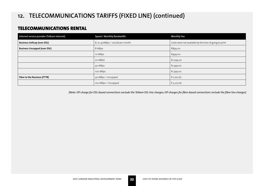## **12. TELECOMMUNICATIONS TARIFFS (FIXED LINE) (continued)**

## Telecommunications rental

| Internet service provider (Telkom Internet) | Speed / Monthly Bandwidth       | <b>Monthly Fee</b>                                     |
|---------------------------------------------|---------------------------------|--------------------------------------------------------|
| <b>Business Softcap (over DSL)</b>          | 8, 10, 40MBps / 100GB per month | Costs were not available by the time of going to print |
| <b>Business Uncapped (over DSL)</b>         | 8 MBps                          | R899.00                                                |
|                                             | 10 MBps                         | R999.00                                                |
|                                             | 20 MBpS                         | R <sub>1,099</sub> .00                                 |
|                                             | 40 MBps                         | R1,399.00                                              |
|                                             | 100 MBps                        | R1,799.00                                              |
| <b>Fibre to the Business (FTTB)</b>         | 40 MBps / Uncapped              | R 2,722.67                                             |
|                                             | 100 MBps / Uncapped             | R 3,227.06                                             |

*(Note: ISP charge for DSL-based connections exclude the Telkom DSL line charges; ISP charges for fibre-based connections include the fibre line charges)*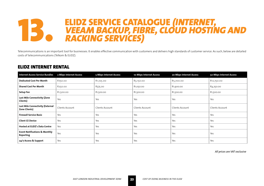# **13. ELIDZ SERVICE CATALOGUE (INTERNET, VEEAM BACKUP, FIBRE, CLOUD HOSTING AND RACKING SERVICES)** RACKING SERVICES)

Telecommunications is an important tool for businesses. It enables effective communication with customers and delivers high standards of customer service. As such, below are detailed costs of telecommunications (Telkom & ELIDZ).

#### ELIDZ INTERNET RENTAL

| <b>Internet Access Service Bundles</b>                       | 2 Mbps Internet Access | 5 Mbps Internet Access | 10 Mbps Internet Access | 20 Mbps Internet Access | 50 Mbps Internet Access |
|--------------------------------------------------------------|------------------------|------------------------|-------------------------|-------------------------|-------------------------|
| <b>Dedicated Cost Per Month</b>                              | R750.00                | R <sub>1</sub> ,725.00 | R3,150.00               | R5,700.00               | R <sub>12</sub> ,750.00 |
| <b>Shared Cost Per Month</b>                                 | R250.00                | R575.00                | R <sub>1</sub> ,050.00  | R <sub>1</sub> ,900.00  | R4,250.00               |
| <b>Setup Fee</b>                                             | R <sub>1,500</sub> .00 | R <sub>1,500</sub> .00 | R <sub>1</sub> ,500.00  | R1,500.00               | R <sub>1,500</sub> .00  |
| Last Mile Connectivity (Zone<br>Clients)                     | Yes                    | Yes                    | Yes                     | Yes                     | Yes                     |
| Last Mile Connectivity (External<br>Zone Clients)            | Clients Account        | Clients Account        | Clients Account         | Clients Account         | Clients Account         |
| <b>Firewall Service Basic</b>                                | Yes                    | Yes                    | Yes                     | Yes                     | Yes                     |
| <b>Client CE Device</b>                                      | Yes                    | Yes                    | Yes                     | Yes                     | Yes                     |
| <b>Hosted at ELIDZ's Data Centre</b>                         | Yes                    | Yes                    | Yes                     | Yes                     | Yes                     |
| <b>Event Notifications &amp; Monthly</b><br><b>Reporting</b> | Yes                    | Yes                    | Yes                     | Yes                     | Yes                     |
| 24/7 Access & Support                                        | Yes                    | Yes                    | Yes                     | Yes                     | Yes                     |

*All prices are VAT exclusive*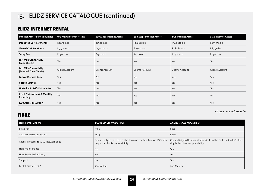## ELIDZ INTERNET RENTAL

| <b>Internet Access Service Bundles</b>                   | 100 Mbps Internet Access | 200 Mbps Internet Access | 500 Mbps Internet Access | 1 Gb Internet Access   | 2 Gb Internet Access  |
|----------------------------------------------------------|--------------------------|--------------------------|--------------------------|------------------------|-----------------------|
| <b>Dedicated Cost Per Month</b>                          | R24,500.00               | R41,000.00               | R84,500.00               | R140,240.00            | R255 952,00           |
| <b>Shared Cost Per Month</b>                             | R9,500.00                | R <sub>15</sub> ,000.00  | R29,500.00               | R48,080.00             | R85 968,00            |
| <b>Setup Fee</b>                                         | R <sub>1,500</sub> .00   | R <sub>1,500</sub> .00   | R <sub>1,500.00</sub>    | R <sub>1,500</sub> .00 | R <sub>1,500.00</sub> |
| <b>Last Mile Connectivity</b><br>(Zone Clients)          | Yes                      | Yes                      | Yes                      | Yes                    | Yes                   |
| <b>Last Mile Connectivity</b><br>(External Zone Clients) | Clients Account          | Clients Account          | Clients Account          | Clients Account        | Clients Account       |
| <b>Firewall Service Basic</b>                            | Yes                      | Yes                      | Yes                      | Yes                    | Yes                   |
| <b>Client CE Device</b>                                  | Yes                      | Yes                      | Yes                      | Yes                    | Yes                   |
| <b>Hosted at ELIDZ's Data Centre</b>                     | Yes                      | Yes                      | Yes                      | Yes                    | Yes                   |
| <b>Event Notifications &amp; Monthly</b><br>Reporting    | Yes                      | Yes                      | Yes                      | Yes                    | Yes                   |
| 24/7 Access & Support                                    | Yes                      | Yes                      | Yes                      | Yes                    | Yes                   |

## **FIBRE**

*All prices are VAT exclusive*

| <b>Fibre Rental Options</b>           | <b>2 CORE SINGLE MODE FIBER</b>                                                                               | 4 CORE SINGLE MODE FIBER                                                                                     |
|---------------------------------------|---------------------------------------------------------------------------------------------------------------|--------------------------------------------------------------------------------------------------------------|
| Setup Fee                             | FREE                                                                                                          | <b>FREE</b>                                                                                                  |
| Cost per Meter per Month              | R1.83                                                                                                         | R <sub>2</sub> .01                                                                                           |
| Clients Property & ELIDZ Network Edge | Connectivity to the closest fibre kiosk on the East London IDZ's fibre<br>ring is the clients responsibility. | Connectivity to the closest fibre kiosk on the East London IDZ's fibre<br>ring is the clients responsibility |
| Fibre Maintenance                     | Yes                                                                                                           | Yes                                                                                                          |
| Fibre Route Redundancy                | <b>No</b>                                                                                                     | Yes                                                                                                          |
| Support                               | Yes                                                                                                           | Yes                                                                                                          |
| Rental Distance CAP                   | 500 Meters                                                                                                    | 500 Meters                                                                                                   |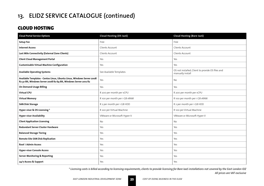## CLOUD HOSTING

| <b>Cloud Portal Service Options</b>                                                                                                       | Cloud Hosting (OS laaS)       | <b>Cloud Hosting (Bare laaS)</b>                                     |
|-------------------------------------------------------------------------------------------------------------------------------------------|-------------------------------|----------------------------------------------------------------------|
| <b>Setup Fee</b>                                                                                                                          | Free                          | Free                                                                 |
| <b>Internet Access</b>                                                                                                                    | Clients Account               | Clients Account                                                      |
| Last Mile Connectivity (External Zone Clients)                                                                                            | Clients Account               | Clients Account                                                      |
| <b>Client Cloud Management Portal</b>                                                                                                     | Yes                           | Yes                                                                  |
| <b>Customisable Virtual Machine Configuration</b>                                                                                         | Yes                           | Yes                                                                  |
| <b>Available Operating Systems</b>                                                                                                        | See Available Templates       | OS not installed, Client to provide OS files and<br>manually install |
| Available Templates - Centos Linux, Ubuntu Linux, Windows Server 2008<br>R2 32-Bit, Windows Server 2008 R2 64-Bit, Windows Server 2012 R2 | Yes                           | <b>No</b>                                                            |
| <b>On Demand Usage Billing</b>                                                                                                            | Yes                           | Yes                                                                  |
| <b>Virtual CPU</b>                                                                                                                        | R 200 per month per vCPU      | R 200 per month per vCPU                                             |
| <b>Virtual Memory</b>                                                                                                                     | R 100 per month per 1 GB vRAM | R 100 per month per 1 GB vRAM                                        |
| <b>SAN Disk Storage</b>                                                                                                                   | R 2 per month per 1 GB HDD    | R 2 per month per 1 GB HDD                                           |
| Hyper-visor & OS Licensing*                                                                                                               | R 220 per Virtual Machine     | R 100 per Virtual Machine                                            |
| <b>Hyper-visor Availability</b>                                                                                                           | VMware or Microsoft Hyper-V   | VMware or Microsoft Hyper-V                                          |
| <b>Client Application Licensing</b>                                                                                                       | No                            | <b>No</b>                                                            |
| Redundant Server Cluster Hardware                                                                                                         | Yes                           | Yes                                                                  |
| <b>Balanced Storage Tiering</b>                                                                                                           | Yes                           | Yes                                                                  |
| <b>Remote Site SAN Disk Replication</b>                                                                                                   | Yes                           | Yes                                                                  |
| Root \ Admin Access                                                                                                                       | Yes                           | Yes                                                                  |
| <b>Hyper-visor Console Access</b>                                                                                                         | Yes                           | Yes                                                                  |
| <b>Server Monitoring &amp; Reporting</b>                                                                                                  | Yes                           | Yes                                                                  |
| 24/7 Access & Support                                                                                                                     | Yes                           | Yes                                                                  |

*\* Licensing costs is billed according to licensing requirements, clients to provide licensing for Bare IaaS installations not covered by the East London IDZ All prices are VAT exclusive*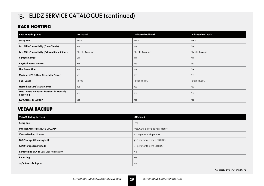## RACK HOSTING

| <b>Rack Rental Options</b>                             | 1 U Shared      | <b>Dedicated Half Rack</b> | <b>Dedicated Full Rack</b> |
|--------------------------------------------------------|-----------------|----------------------------|----------------------------|
| <b>Setup Fee</b>                                       | FREE            | FREE                       | FREE                       |
| Last Mile Connectivity (Zone Clients)                  | Yes             | Yes                        | Yes                        |
| Last Mile Connectivity (External Zone Clients)         | Clients Account | Clients Account            | Clients Account            |
| <b>Climate Control</b>                                 | Yes             | Yes                        | Yes                        |
| <b>Physical Access Control</b>                         | Yes             | Yes                        | Yes                        |
| <b>Fire Prevention</b>                                 | Yes             | Yes                        | Yes                        |
| <b>Modular UPS &amp; Dual Generator Power</b>          | Yes             | Yes                        | Yes                        |
| <b>Rack Space</b>                                      | 19"1U           | 19" up to 20U              | 19" up to 40U              |
| <b>Hosted at ELIDZ's Data Centre</b>                   | Yes             | Yes                        | Yes                        |
| Data Centre Event Notifications & Monthly<br>Reporting | Yes             | Yes                        | Yes                        |
| 24/7 Access & Support                                  | Yes             | Yes                        | Yes                        |

## VEEAM BACKUP

| <b>VEEAM Backup Services</b>           | 1 U Shared                      |
|----------------------------------------|---------------------------------|
| <b>Setup Fee</b>                       | Free                            |
| Internet Access (REMOTE UPLOAD)        | Free, Outside of Business Hours |
| Veeam Backup License                   | R 100 per month per VM          |
| D2D Storage (Unencrypted)              | 50C per month per 1 GB HDD      |
| <b>SAN Storage (Encrypted)</b>         | R 1 per month per 1 GB HDD      |
| Remote Site SAN & D2D Disk Replication | <b>No</b>                       |
| Reporting                              | Yes                             |
| 24/7 Access & Support                  | Yes                             |

*All prices are VAT exclusive*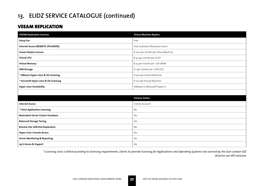## VEEAM REPLICATION

| <b>VEEAM Replication Services</b>        | <b>Virtual Machine Replica</b>     |
|------------------------------------------|------------------------------------|
| <b>Setup Fee</b>                         | Free                               |
| <b>Internet Access (REMOTE UPLOADED)</b> | Free, Outside of Business Hours    |
| <b>Veeam Replica License</b>             | R 200 per month per Vitual Machine |
| <b>Virtual CPU</b>                       | R 50 per month per vCPU            |
| <b>Virtual Memory</b>                    | R 25 per month per 1 GB vRAM       |
| <b>SAN Storage</b>                       | R 1 per month per 1 GB HDD         |
| * VMware Hyper-visor & OS Licensing      | R 220 per Virtual Machine          |
| * microsoft Hyper-visor & OS Licensing   | R 120 per Virtual Machine          |
| <b>Hyper-visor Availability</b>          | VMware or Microsoft Hyper-V        |
|                                          |                                    |
|                                          | <b>Failover Active</b>             |
| <b>Internet Access</b>                   | Clients Account                    |
| * Client Application Licensing           | No                                 |
| Redundant Server Cluster Hardware        | Yes                                |
| <b>Balanced Storage Tiering</b>          | Yes                                |
| <b>Remote Site SAN Disk Replication</b>  | No                                 |
| <b>Hyper-visor Console Access</b>        | Yes                                |
| <b>Server Monitoring &amp; Reporting</b> | Yes                                |
| 24/7 Access & Support                    | Yes                                |

*\* Licensing costs is billed according to licensing requirements, clients to provide licensing for Applications and Operating Systems not covered by the East London IDZ All prices are VAT exclusive*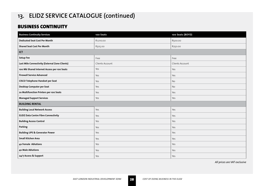## BUSINESS CONTINUITY

| <b>Business Continuity Services</b>            | 100 Seats              | 100 Seats (BOYD) |
|------------------------------------------------|------------------------|------------------|
| <b>Dedicated Seat Cost Per Month</b>           | R <sub>1</sub> ,010.00 | R500.00          |
| <b>Shared Seat Cost Per Month</b>              | R505.00                | R250.00          |
| ICT                                            |                        |                  |
| <b>Setup Fee</b>                               | Free                   | Free             |
| Last Mile Connectivity (External Zone Clients) | Clients Account        | Clients Account  |
| 100 Mb Shared Internet Access per 100 Seats    | Yes                    | Yes              |
| <b>Firewall Service Advanced</b>               | Yes                    | Yes              |
| <b>CISCO Telephone Handset per Seat</b>        | Yes                    | No               |
| Desktop Computer per Seat                      | Yes                    | No               |
| 2x Multifunction Printers per 100 Seats        | Yes                    | Yes              |
| <b>Managed Support Services</b>                | Yes                    | Yes              |
| <b>BUILDING RENTAL</b>                         |                        |                  |
| <b>Building Local Network Access</b>           | Yes                    | Yes              |
| <b>ELIDZ Data Centre Fibre Connectivity</b>    | Yes                    | Yes              |
| <b>Building Access Control</b>                 | Yes                    | Yes              |
| Parking                                        | Yes                    | Yes              |
| <b>Building UPS &amp; Generator Power</b>      | Yes                    | Yes              |
| Small Kitchen Area                             | Yes                    | Yes              |
| 4x Female Ablutions                            | Yes                    | Yes              |
| 4x Male Ablutions                              | Yes                    | Yes              |
| 24/7 Access & Support                          | Yes                    | Yes              |

*All prices are VAT exclusive*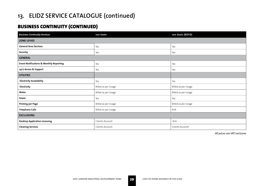## BUSINESS CONTINUITY (Continued)

| <b>Business Continuity Services</b>                | 100 Seats           | 100 Seats (BOYD)    |
|----------------------------------------------------|---------------------|---------------------|
| <b>ZONE LEVIES</b>                                 |                     |                     |
| <b>General Area Services</b>                       | Yes                 | Yes                 |
| <b>Security</b>                                    | Yes                 | Yes                 |
| <b>GENERAL</b>                                     |                     |                     |
| <b>Event Notifications &amp; Monthly Reporting</b> | Yes                 | Yes                 |
| 24/7 Access & Support                              | Yes                 | Yes                 |
| <b>UTILITIES</b>                                   |                     |                     |
| <b>Electricity Availability</b>                    | Yes                 | Yes                 |
| Electricity                                        | Billed as per Usage | Billed as per Usage |
| Water                                              | Billed as per Usage | Billed as per Usage |
| Sewer                                              | Yes                 | Yes                 |
| <b>Printing per Page</b>                           | Billed as per Usage | Billed as per Usage |
| <b>Telephone Calls</b>                             | Billed as per Usage | N/A                 |
| <b>EXCLUSIONS</b>                                  |                     |                     |
| <b>Desktop Application Licensing</b>               | Clients Account     | N/A                 |
| <b>Cleaning Services</b>                           | Clients Account     | Clients Account     |

*All prices are VAT exclusive*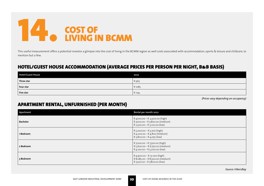# 14. COST OF LIVING IN BCMM

This useful measurement offers a potential investor a glimpse into the cost of living in the BCMM region as well costs associated with accommodation, sports & leisure and childcare, to mention but a few.

## Hotel/Guest House Accommodation (average prices per person per night, B&B basis)

| Hotel/Guest House | 2022   |
|-------------------|--------|
| Three star        | R 963  |
| Four star         | R 1085 |
| Five star         | R 1145 |

 *(Prices vary depending on occupancy)*

#### Apartment rental, unfurnished (per month)

| Apartment       | Rental per month 2022                                                                                         |
|-----------------|---------------------------------------------------------------------------------------------------------------|
| <b>Bachelor</b> | $R$ 4000.00 – $R$ 4,500.00 (high)<br>$R$ 3000.00 – $R$ 3,800.00 (medium)<br>$R$ 2,500.00 – $R$ 3,100.00 (low) |
| 1 Bedroom       | $R$ 5,000.00 – $R$ 5,700 (high)<br>R 4,200.00 - R 4,800 (medium)<br>$R$ 3,800.00 – $R$ 4,050 (low)            |
| 2 Bedroom       | R 7,000.00 - R 7,300.00 (high)<br>R 5,600.00 - R 6,750.00 (medium)<br>R 4,100.00 - R 5,000.00 (low)           |
| 3 Bedroom       | R 9,900.00 - R 13 000 (high)<br>R 8,085.00 - R 8,500.00 (medium)<br>R 7,500.00 - R 7,800.00 (low)             |

*Source: HikersBay*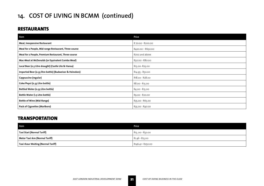## **14. COST OF LIVING IN BCMM (continued)**

## **RESTAURANTS**

| Item                                                     | Price             |
|----------------------------------------------------------|-------------------|
| Meal, Inexpensive Restaurant                             | R 70.00 - R200.00 |
| Meal for 2 People, Mid-range Restaurant, Three-course    | R420.00 - R650.00 |
| Meal for 2 People, Premium Restaurant, Three-course      | R700 and above    |
| Mac-Meal at McDonalds (or Equivalent Combo Meal)         | R50.00 - R80.00   |
| Local Beer (0.5 Litre draught) (Castle Lite & Hansa)     | R15.00- R25.00    |
| Imported Beer (0.33 litre bottle) (Budweiser & Heineken) | R14.95 - R50.00   |
| Cappuccino (regular)                                     | R18.00 - R28.00   |
| Coke/Pepsi (0.33 Litre bottle)                           | R8.00 - R15.00    |
| Bottled Water (0.33 Litre bottle)                        | R4.00 - R15.00    |
| Bottle Water (1.5 Litre bottle)                          | Rg.oo - R20.00    |
| <b>Bottle of Wine (Mid-Range)</b>                        | R35.00 - R65.00   |
| Pack of Cigarettes (Marlboro)                            | R35.00 - R40.00   |

## **TRANSPORTATION**

| Item                               | Price                                     |
|------------------------------------|-------------------------------------------|
| Taxi Start (Normal Tariff)         | R <sub>15</sub> .00 - R <sub>50</sub> .00 |
| Meter Taxi 1km (Normal Tariff)     | R <sub>1.46</sub> - R <sub>15</sub> .00   |
| Taxi 1hour Waiting (Normal Tariff) | R146.41-R250.00                           |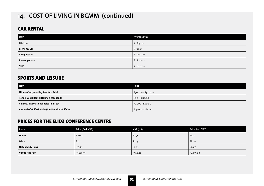## **14. COST OF LIVING IN BCMM (continued)**

## CAR RENTAL

| Item          | <b>Average Price</b> |
|---------------|----------------------|
| Mini car      | R 684.00             |
| Economy Car   | R 817.00             |
| Compact car   | R 1000.00            |
| Passenger Van | R 1800.00            |
| SUV           | R 1600.00            |

#### Sports and Leisure

| l Item                                           | Price             |
|--------------------------------------------------|-------------------|
| Fitness Club, Monthly Fee for 1 Adult            | R300.00 - R520.00 |
| Tennis Court Rent (1 Hour on Weekend)            | R90-R130.00       |
| Cinema, International Release, 1 Seat            | R45.00 - R90.00   |
| A round of Golf (18 Holes) East London Golf Club | R 450 and above   |

## Prices for the Elidz Conference Centre

| Items           | Price (Excl. VAT)   | VAT (15%)          | Price (Incl. VAT)  |
|-----------------|---------------------|--------------------|--------------------|
| Water           | R <sub>10.53</sub>  | R <sub>1.5</sub> 8 | R <sub>12.11</sub> |
| <b>Mints</b>    | R7.02               | R1.05              | R8.07              |
| Notepads & Pens | R <sub>17</sub> .54 | R2.63              | R <sub>20.17</sub> |
| Venue Hire >20  | R3508.77            | R526.32            | R4035.09           |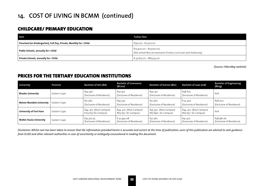## **14. COST OF LIVING IN BCMM (continued)**

## Childcare/ Primary Education

| ltem                                                                | <b>Tuition fees</b>                                                                           |  |  |
|---------------------------------------------------------------------|-----------------------------------------------------------------------------------------------|--|--|
| Preschool (or Kindergarten), Full Day, Private, Monthly for 1 Child | R750.00 - R2,500.00                                                                           |  |  |
| Public Schools, annually for 1 Child                                | R17,400.00 - R57,000.00<br>(the school fees are exclusive of extra-curricular and stationary) |  |  |
| Private Schools, annually for 1 Child                               | R 32,615.00 - R87,524.00                                                                      |  |  |

*(Source: HikersBay website)*

## Prices for the TERTIARY EDUCATION INSTITUTIONS

| University                      | Province     | <b>Bachelor of Arts (BA)</b>                    | <b>Bachelor of Commerce</b><br>(BCom)         | <b>Bachelor of Science (BSc)</b>              | <b>Bachelor of Laws (LLB)</b>                    | <b>Bachelor of Engineering</b><br>(BEng) |
|---------------------------------|--------------|-------------------------------------------------|-----------------------------------------------|-----------------------------------------------|--------------------------------------------------|------------------------------------------|
| <b>Rhodes University</b>        | Eastern Cape | R <sub>43</sub> 390<br>(Exclusive of Residence) | R47 472<br>(Exclusive of Residence)           | R45 140<br>(Exclusive of Residence)           | R <sub>4</sub> 8 673<br>(Exclusive of Residence) | N/A                                      |
| Nelson Mandela University       | Eastern Cape | R31360<br>(Exclusive of Residence)              | R45 530<br>(Exclusive of Residence)           | R31360<br>(Exclusive of Residence)            | R 41 420<br>(Exclusive of Residence)             | R58300<br>(Exclusive of Residence)       |
| University of Fort Hare         | Eastern Cape | R44 415 (Alice Campus)<br>R 63 657 (EL Campus)  | R44 415 (Alice Campus)<br>R63 657 (EL Campus) | R45 350 (Alice Campus)<br>R65 890 (EL Campus) | R44 415 (Alice Campus)<br>$R63657$ (EL Campus)   | N/A                                      |
| <b>Walter Sisulu University</b> | Eastern Cape | R32,370.75<br>(Exclusive of Residence)          | R 31,490.08<br>(Exclusive of Residence)       | R31360<br>(Exclusive of Residence)            | R41420<br>(Exclusive of Residence)               | R38,380.76<br>(Exclusive of Residence)   |

*Disclaimer: Whilst care has been taken to ensure that the information provided herein is accurate and correct at the time of publication, users of this publication are advised to seek guidance from ELIDZ and other relevant authorities in case of uncertainty or ambiguity encountered in reading this document.*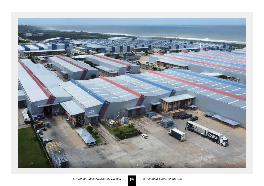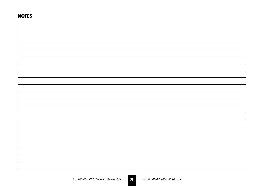#### **NOTES**